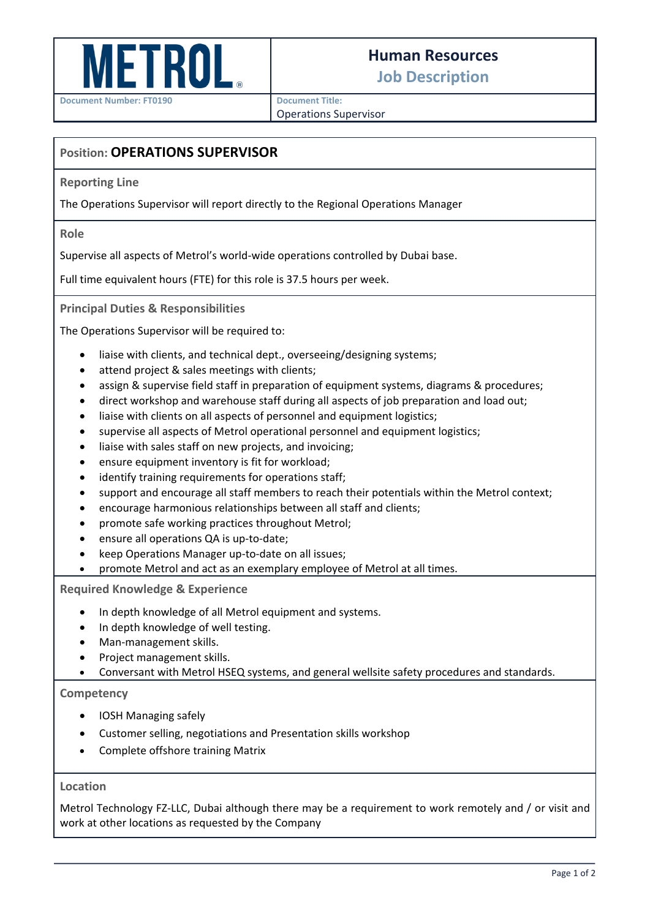

## **Human Resources**

**Job Description**

**Document Number: FT0190**

**Document Title:**

Operations Supervisor

## **Position: OPERATIONS SUPERVISOR**

**Reporting Line**

The Operations Supervisor will report directly to the Regional Operations Manager

**Role**

Supervise all aspects of Metrol's world-wide operations controlled by Dubai base.

Full time equivalent hours (FTE) for this role is 37.5 hours per week.

**Principal Duties & Responsibilities**

The Operations Supervisor will be required to:

- liaise with clients, and technical dept., overseeing/designing systems;
- attend project & sales meetings with clients;
- assign & supervise field staff in preparation of equipment systems, diagrams & procedures;
- direct workshop and warehouse staff during all aspects of job preparation and load out:
- liaise with clients on all aspects of personnel and equipment logistics;
- supervise all aspects of Metrol operational personnel and equipment logistics;
- liaise with sales staff on new projects, and invoicing;
- ensure equipment inventory is fit for workload;
- identify training requirements for operations staff;
- support and encourage all staff members to reach their potentials within the Metrol context;
- encourage harmonious relationships between all staff and clients;
- promote safe working practices throughout Metrol;
- ensure all operations QA is up-to-date;
- keep Operations Manager up-to-date on all issues;
- promote Metrol and act as an exemplary employee of Metrol at all times.

**Required Knowledge & Experience**

- In depth knowledge of all Metrol equipment and systems.
- In depth knowledge of well testing.
- Man-management skills.
- Project management skills.
- Conversant with Metrol HSEQ systems, and general wellsite safety procedures and standards.

**Competency**

- IOSH Managing safely
- Customer selling, negotiations and Presentation skills workshop
- Complete offshore training Matrix

## **Location**

Metrol Technology FZ-LLC, Dubai although there may be a requirement to work remotely and / or visit and work at other locations as requested by the Company